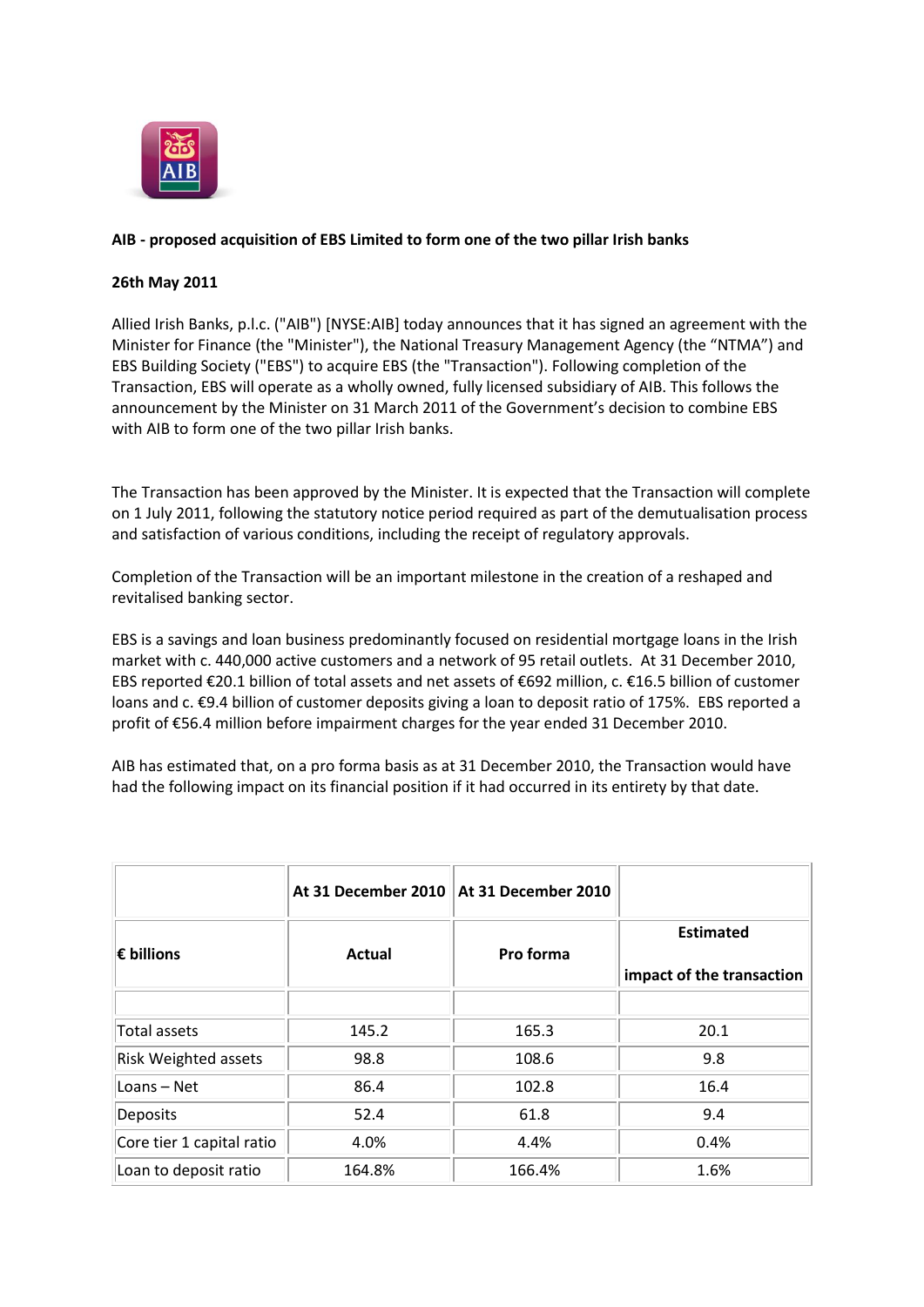

## **AIB - proposed acquisition of EBS Limited to form one of the two pillar Irish banks**

## **26th May 2011**

Allied Irish Banks, p.l.c. ("AIB") [NYSE:AIB] today announces that it has signed an agreement with the Minister for Finance (the "Minister"), the National Treasury Management Agency (the "NTMA") and EBS Building Society ("EBS") to acquire EBS (the "Transaction"). Following completion of the Transaction, EBS will operate as a wholly owned, fully licensed subsidiary of AIB. This follows the announcement by the Minister on 31 March 2011 of the Government's decision to combine EBS with AIB to form one of the two pillar Irish banks.

The Transaction has been approved by the Minister. It is expected that the Transaction will complete on 1 July 2011, following the statutory notice period required as part of the demutualisation process and satisfaction of various conditions, including the receipt of regulatory approvals.

Completion of the Transaction will be an important milestone in the creation of a reshaped and revitalised banking sector.

EBS is a savings and loan business predominantly focused on residential mortgage loans in the Irish market with c. 440,000 active customers and a network of 95 retail outlets. At 31 December 2010, EBS reported €20.1 billion of total assets and net assets of €692 million, c. €16.5 billion of customer loans and c. €9.4 billion of customer deposits giving a loan to deposit ratio of 175%. EBS reported a profit of €56.4 million before impairment charges for the year ended 31 December 2010.

AIB has estimated that, on a pro forma basis as at 31 December 2010, the Transaction would have had the following impact on its financial position if it had occurred in its entirety by that date.

|                             | At 31 December 2010 | At 31 December 2010 |                                               |
|-----------------------------|---------------------|---------------------|-----------------------------------------------|
| $\epsilon$ billions         | <b>Actual</b>       | Pro forma           | <b>Estimated</b><br>impact of the transaction |
|                             |                     |                     |                                               |
| Total assets                | 145.2               | 165.3               | 20.1                                          |
| <b>Risk Weighted assets</b> | 98.8                | 108.6               | 9.8                                           |
| Loans - Net                 | 86.4                | 102.8               | 16.4                                          |
| <b>Deposits</b>             | 52.4                | 61.8                | 9.4                                           |
| Core tier 1 capital ratio   | 4.0%                | 4.4%                | 0.4%                                          |
| Loan to deposit ratio       | 164.8%              | 166.4%              | 1.6%                                          |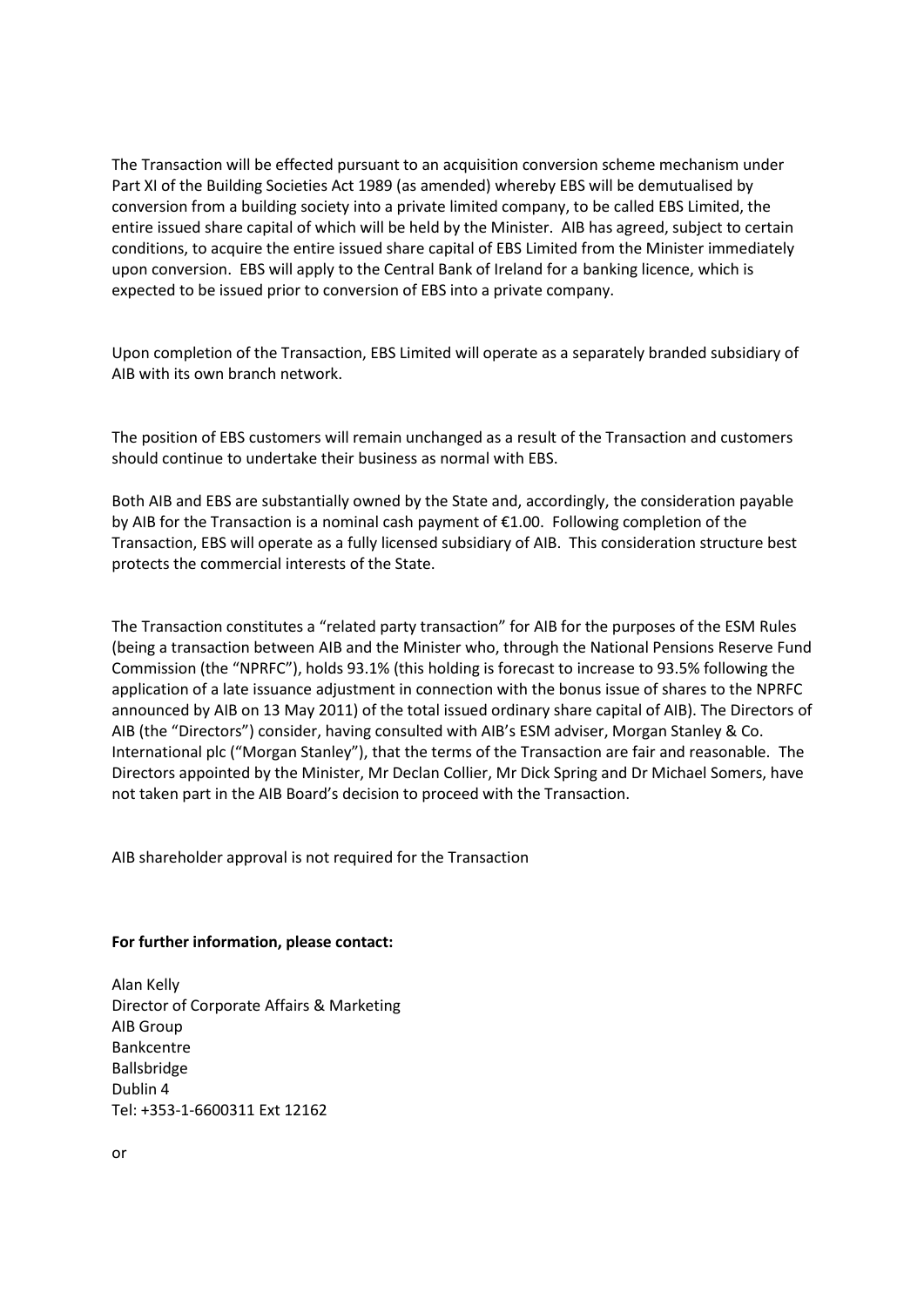The Transaction will be effected pursuant to an acquisition conversion scheme mechanism under Part XI of the Building Societies Act 1989 (as amended) whereby EBS will be demutualised by conversion from a building society into a private limited company, to be called EBS Limited, the entire issued share capital of which will be held by the Minister. AIB has agreed, subject to certain conditions, to acquire the entire issued share capital of EBS Limited from the Minister immediately upon conversion. EBS will apply to the Central Bank of Ireland for a banking licence, which is expected to be issued prior to conversion of EBS into a private company.

Upon completion of the Transaction, EBS Limited will operate as a separately branded subsidiary of AIB with its own branch network.

The position of EBS customers will remain unchanged as a result of the Transaction and customers should continue to undertake their business as normal with EBS.

Both AIB and EBS are substantially owned by the State and, accordingly, the consideration payable by AIB for the Transaction is a nominal cash payment of  $\epsilon$ 1.00. Following completion of the Transaction, EBS will operate as a fully licensed subsidiary of AIB. This consideration structure best protects the commercial interests of the State.

The Transaction constitutes a "related party transaction" for AIB for the purposes of the ESM Rules (being a transaction between AIB and the Minister who, through the National Pensions Reserve Fund Commission (the "NPRFC"), holds 93.1% (this holding is forecast to increase to 93.5% following the application of a late issuance adjustment in connection with the bonus issue of shares to the NPRFC announced by AIB on 13 May 2011) of the total issued ordinary share capital of AIB). The Directors of AIB (the "Directors") consider, having consulted with AIB's ESM adviser, Morgan Stanley & Co. International plc ("Morgan Stanley"), that the terms of the Transaction are fair and reasonable. The Directors appointed by the Minister, Mr Declan Collier, Mr Dick Spring and Dr Michael Somers, have not taken part in the AIB Board's decision to proceed with the Transaction.

AIB shareholder approval is not required for the Transaction

## **For further information, please contact:**

Alan Kelly Director of Corporate Affairs & Marketing AIB Group Bankcentre Ballsbridge Dublin 4 Tel: +353-1-6600311 Ext 12162

or